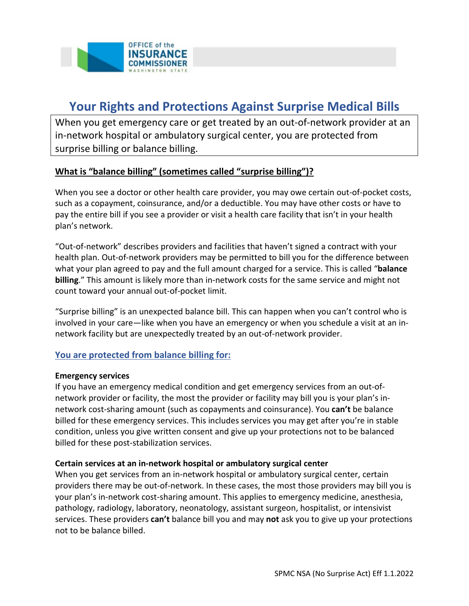

# **Your Rights and Protections Against Surprise Medical Bills**

When you get emergency care or get treated by an out-of-network provider at an in-network hospital or ambulatory surgical center, you are protected from surprise billing or balance billing.

### **What is "balance billing" (sometimes called "surprise billing")?**

When you see a doctor or other health care provider, you may owe certain out-of-pocket costs, such as a copayment, coinsurance, and/or a deductible. You may have other costs or have to pay the entire bill if you see a provider or visit a health care facility that isn't in your health plan's network.

"Out-of-network" describes providers and facilities that haven't signed a contract with your health plan. Out-of-network providers may be permitted to bill you for the difference between what your plan agreed to pay and the full amount charged for a service. This is called "**balance billing**." This amount is likely more than in-network costs for the same service and might not count toward your annual out-of-pocket limit.

"Surprise billing" is an unexpected balance bill. This can happen when you can't control who is involved in your care—like when you have an emergency or when you schedule a visit at an innetwork facility but are unexpectedly treated by an out-of-network provider.

#### **You are protected from balance billing for:**

#### **Emergency services**

If you have an emergency medical condition and get emergency services from an out-ofnetwork provider or facility, the most the provider or facility may bill you is your plan's innetwork cost-sharing amount (such as copayments and coinsurance). You **can't** be balance billed for these emergency services. This includes services you may get after you're in stable condition, unless you give written consent and give up your protections not to be balanced billed for these post-stabilization services.

#### **Certain services at an in-network hospital or ambulatory surgical center**

When you get services from an in-network hospital or ambulatory surgical center, certain providers there may be out-of-network. In these cases, the most those providers may bill you is your plan's in-network cost-sharing amount. This applies to emergency medicine, anesthesia, pathology, radiology, laboratory, neonatology, assistant surgeon, hospitalist, or intensivist services. These providers **can't** balance bill you and may **not** ask you to give up your protections not to be balance billed.